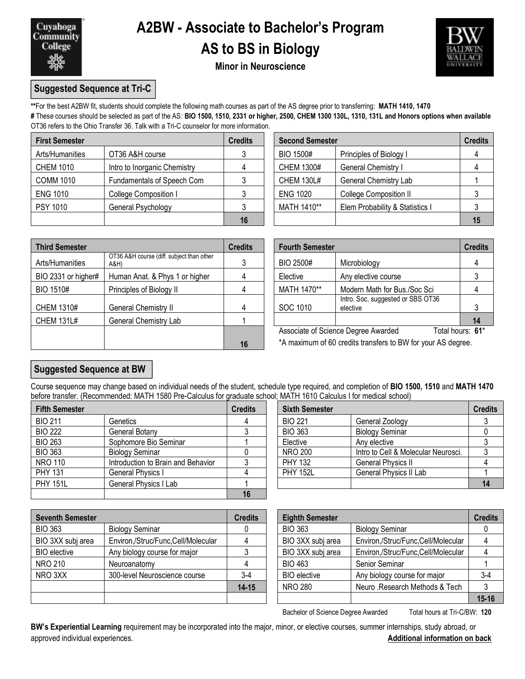

## **A2BW - Associate to Bachelor's Program AS to BS in Biology**



**Minor in Neuroscience**

### **Suggested Sequence at Tri-C**

**\*\***For the best A2BW fit, students should complete the following math courses as part of the AS degree prior to transferring: **MATH 1410, 1470**

**#** These courses should be selected as part of the AS: **BIO 1500, 1510, 2331 or higher, 2500, CHEM 1300 130L, 1310, 131L and Honors options when available** OT36 refers to the Ohio Transfer 36. Talk with a Tri-C counselor for more information.

| <b>First Semester</b> |                              | <b>Credits</b> |                   | <b>Second Semester</b>          |    |  |
|-----------------------|------------------------------|----------------|-------------------|---------------------------------|----|--|
| Arts/Humanities       | OT36 A&H course              |                | BIO 1500#         | Principles of Biology I         |    |  |
| <b>CHEM 1010</b>      | Intro to Inorganic Chemistry |                | <b>CHEM 1300#</b> | General Chemistry I             |    |  |
| <b>COMM 1010</b>      | Fundamentals of Speech Com   |                | <b>CHEM 130L#</b> | <b>General Chemistry Lab</b>    |    |  |
| <b>ENG 1010</b>       | College Composition I        |                | <b>ENG 1020</b>   | <b>College Composition II</b>   |    |  |
| <b>PSY 1010</b>       | General Psychology           |                | MATH 1410**       | Elem Probability & Statistics I |    |  |
|                       |                              | 16             |                   |                                 | 15 |  |

| dits           | <b>Second Semester</b><br><b>Credits</b>       |                         |  |  |  |  |  |
|----------------|------------------------------------------------|-------------------------|--|--|--|--|--|
| 3              | <b>BIO 1500#</b>                               | Principles of Biology I |  |  |  |  |  |
| $\overline{4}$ | <b>CHEM 1300#</b>                              | General Chemistry I     |  |  |  |  |  |
| 3              | <b>CHEM 130L#</b>                              | General Chemistry Lab   |  |  |  |  |  |
| 3              | <b>ENG 1020</b>                                | College Composition II  |  |  |  |  |  |
| 3              | MATH 1410**<br>Elem Probability & Statistics I |                         |  |  |  |  |  |
| 16             |                                                |                         |  |  |  |  |  |

| <b>Third Semester</b> |                                                   | <b>Credits</b> |             | <b>Fourth Semester</b>                                       |                  |
|-----------------------|---------------------------------------------------|----------------|-------------|--------------------------------------------------------------|------------------|
| Arts/Humanities       | OT36 A&H course (diff. subject than other<br>A&H) |                | BIO 2500#   | Microbiology                                                 |                  |
| BIO 2331 or higher#   | Human Anat. & Phys 1 or higher                    | 4              | Elective    | Any elective course                                          |                  |
| BIO 1510#             | Principles of Biology II                          | 4              | MATH 1470** | Modern Math for Bus./Soc Sci                                 |                  |
| CHEM 1310#            | General Chemistry II                              | 4              | SOC 1010    | Intro. Soc. suggested or SBS OT36<br>elective                |                  |
| <b>CHEM 131L#</b>     | <b>General Chemistry Lab</b>                      |                |             |                                                              | 14               |
|                       |                                                   |                |             | Associate of Science Degree Awarded                          | Total hours: 61* |
|                       |                                                   | 16             |             | *A maximum of 60 credits transfers to BW for your AS degree. |                  |

|                                                   | <b>Credits</b> | <b>Fourth Semester</b>                                  | <b>Credits</b>                                |    |
|---------------------------------------------------|----------------|---------------------------------------------------------|-----------------------------------------------|----|
| OT36 A&H course (diff. subject than other<br>A&H) | 3              | BIO 2500#                                               | Microbiology                                  |    |
| Human Anat. & Phys 1 or higher                    |                | Elective                                                | Any elective course                           |    |
| Principles of Biology II                          |                | MATH 1470**                                             | Modern Math for Bus./Soc Sci                  |    |
| General Chemistry II                              |                | SOC 1010                                                | Intro. Soc. suggested or SBS OT36<br>elective |    |
| General Chemistry Lab                             |                |                                                         |                                               | 14 |
|                                                   |                | Associate of Science Degree Awarded<br>Total hours: 61* |                                               |    |

### **Suggested Sequence at BW**

Course sequence may change based on individual needs of the student, schedule type required, and completion of **BIO 1500, 1510** and **MATH 1470** before transfer. (Recommended: MATH 1580 Pre-Calculus for graduate school; MATH 1610 Calculus I for medical school)

| <b>Fifth Semester</b> |                                    | <b>Credits</b> | <b>Sixth Semester</b> |                                     | <b>Credits</b> |
|-----------------------|------------------------------------|----------------|-----------------------|-------------------------------------|----------------|
| <b>BIO 211</b>        | <b>Genetics</b>                    |                | <b>BIO 221</b>        | General Zoology                     |                |
| <b>BIO 222</b>        | General Botany                     |                | <b>BIO 363</b>        | <b>Biology Seminar</b>              |                |
| <b>BIO 263</b>        | Sophomore Bio Seminar              |                | Elective              | Any elective                        |                |
| <b>BIO 363</b>        | <b>Biology Seminar</b>             |                | <b>NRO 200</b>        | Intro to Cell & Molecular Neurosci. |                |
| <b>NRO 110</b>        | Introduction to Brain and Behavior |                | <b>PHY 132</b>        | <b>General Physics II</b>           |                |
| <b>PHY 131</b>        | General Physics I                  |                | <b>PHY 152L</b>       | General Physics II Lab              |                |
| <b>PHY 151L</b>       | General Physics I Lab              |                |                       |                                     | 14             |
|                       |                                    | 16             |                       |                                     |                |

| <b>Sixth Semester</b> |                                                     | <b>Credits</b> |  |  |  |
|-----------------------|-----------------------------------------------------|----------------|--|--|--|
| <b>BIO 221</b>        | General Zoology                                     |                |  |  |  |
| <b>BIO 363</b>        | <b>Biology Seminar</b>                              |                |  |  |  |
| Elective              | Any elective<br>Intro to Cell & Molecular Neurosci. |                |  |  |  |
| <b>NRO 200</b>        |                                                     |                |  |  |  |
| <b>PHY 132</b>        | <b>General Physics II</b>                           |                |  |  |  |
| <b>PHY 152L</b>       | <b>General Physics II Lab</b>                       |                |  |  |  |
|                       |                                                     |                |  |  |  |

| <b>Seventh Semester</b> |                                    | <b>Credits</b> | <b>Eighth Semester</b> |                                    | <b>Credits</b> |
|-------------------------|------------------------------------|----------------|------------------------|------------------------------------|----------------|
| <b>BIO 363</b>          | <b>Biology Seminar</b>             |                | <b>BIO 363</b>         | <b>Biology Seminar</b>             |                |
| BIO 3XX subj area       | Environ,/Struc/Func,Cell/Molecular |                | BIO 3XX subj area      | Environ,/Struc/Func,Cell/Molecular |                |
| <b>BIO</b> elective     | Any biology course for major       |                | BIO 3XX subj area      | Environ,/Struc/Func,Cell/Molecular |                |
| NRO 210                 | Neuroanatomy                       |                | <b>BIO 463</b>         | Senior Seminar                     |                |
| NRO 3XX                 | 300-level Neuroscience course      | $3-4$          | <b>BIO</b> elective    | Any biology course for major       | $3 - 4$        |
|                         |                                    | $14 - 15$      | <b>NRO 280</b>         | Neuro .Research Methods & Tech     |                |
|                         |                                    |                |                        |                                    | $15 - 16$      |

| credits:  | <b>Eighth Semester</b>                                  |                                    | <b>Credits</b> |  |
|-----------|---------------------------------------------------------|------------------------------------|----------------|--|
|           | <b>BIO 363</b>                                          | <b>Biology Seminar</b>             |                |  |
|           | BIO 3XX subj area                                       | Environ,/Struc/Func,Cell/Molecular |                |  |
| 3         | BIO 3XX subj area<br>Environ,/Struc/Func,Cell/Molecular |                                    |                |  |
|           | <b>BIO 463</b><br>Senior Seminar                        |                                    |                |  |
| $3-4$     | <b>BIO</b> elective                                     | Any biology course for major       | $3-4$          |  |
| $14 - 15$ | <b>NRO 280</b><br>Neuro .Research Methods & Tech        |                                    |                |  |
|           |                                                         |                                    | $15 - 16$      |  |

Bachelor of Science Degree Awarded Total hours at Tri-C/BW: 120

**BW's Experiential Learning** requirement may be incorporated into the major, minor, or elective courses, summer internships, study abroad, or approved individual experiences. **Additional information on back**